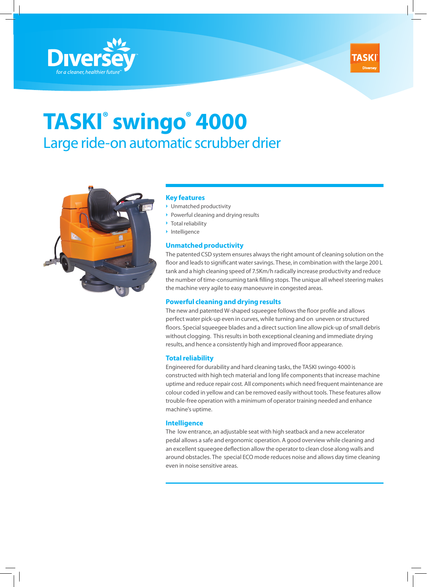



# **TASKI® swingo® 4000** Large ride-on automatic scrubber drier



### **Key features**

- $\blacktriangleright$  Unmatched productivity
- $\triangleright$  Powerful cleaning and drying results
- $\blacktriangleright$  Total reliability
- $\blacktriangleright$  Intelligence

# **Unmatched productivity**

The patented CSD system ensures always the right amount of cleaning solution on the floor and leads to significant water savings. These, in combination with the large 200 L tank and a high cleaning speed of 7.5Km/h radically increase productivity and reduce the number of time-consuming tank filling stops. The unique all wheel steering makes the machine very agile to easy manoeuvre in congested areas.

### **Powerful cleaning and drying results**

The new and patented W-shaped squeegee follows the floor profile and allows perfect water pick-up even in curves, while turning and on uneven or structured floors. Special squeegee blades and a direct suction line allow pick-up of small debris without clogging. This results in both exceptional cleaning and immediate drying results, and hence a consistently high and improved floor appearance.

#### **Total reliability**

Engineered for durability and hard cleaning tasks, the TASKI swingo 4000 is constructed with high tech material and long life components that increase machine uptime and reduce repair cost. All components which need frequent maintenance are colour coded in yellow and can be removed easily without tools. These features allow trouble-free operation with a minimum of operator training needed and enhance machine's uptime.

### **Intelligence**

The low entrance, an adjustable seat with high seatback and a new accelerator pedal allows a safe and ergonomic operation. A good overview while cleaning and an excellent squeegee deflection allow the operator to clean close along walls and around obstacles. The special ECO mode reduces noise and allows day time cleaning even in noise sensitive areas.